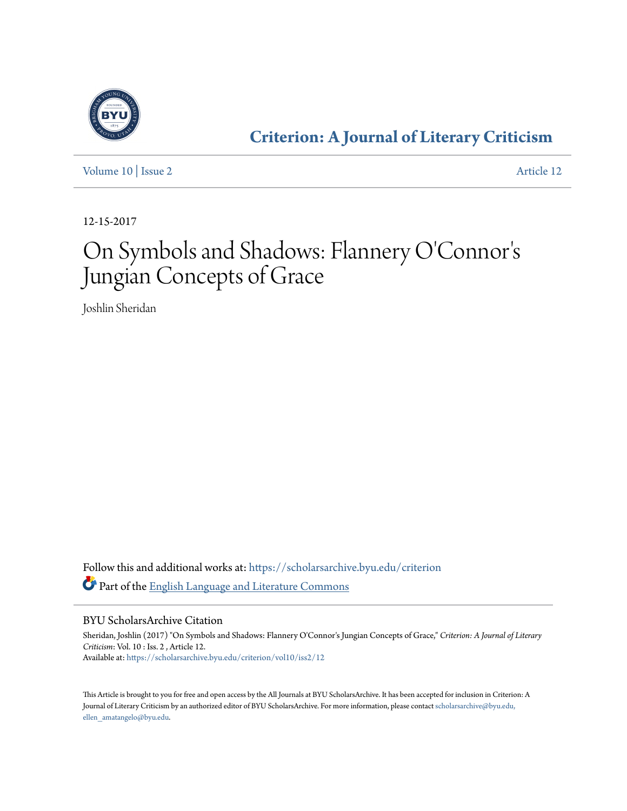

**[Criterion: A Journal of Literary Criticism](https://scholarsarchive.byu.edu/criterion?utm_source=scholarsarchive.byu.edu%2Fcriterion%2Fvol10%2Fiss2%2F12&utm_medium=PDF&utm_campaign=PDFCoverPages)**

[Volume 10](https://scholarsarchive.byu.edu/criterion/vol10?utm_source=scholarsarchive.byu.edu%2Fcriterion%2Fvol10%2Fiss2%2F12&utm_medium=PDF&utm_campaign=PDFCoverPages) | [Issue 2](https://scholarsarchive.byu.edu/criterion/vol10/iss2?utm_source=scholarsarchive.byu.edu%2Fcriterion%2Fvol10%2Fiss2%2F12&utm_medium=PDF&utm_campaign=PDFCoverPages) [Article 12](https://scholarsarchive.byu.edu/criterion/vol10/iss2/12?utm_source=scholarsarchive.byu.edu%2Fcriterion%2Fvol10%2Fiss2%2F12&utm_medium=PDF&utm_campaign=PDFCoverPages)

12-15-2017

### On Symbols and Shadows: Flannery O'Connor ' s Jungian Concepts of Grace

Joshlin Sheridan

Follow this and additional works at: [https://scholarsarchive.byu.edu/criterion](https://scholarsarchive.byu.edu/criterion?utm_source=scholarsarchive.byu.edu%2Fcriterion%2Fvol10%2Fiss2%2F12&utm_medium=PDF&utm_campaign=PDFCoverPages) Part of the [English Language and Literature Commons](http://network.bepress.com/hgg/discipline/455?utm_source=scholarsarchive.byu.edu%2Fcriterion%2Fvol10%2Fiss2%2F12&utm_medium=PDF&utm_campaign=PDFCoverPages)

BYU ScholarsArchive Citation

Sheridan, Joshlin (2017) "On Symbols and Shadows: Flannery O'Connor's Jungian Concepts of Grace," *Criterion: A Journal of Literary Criticism*: Vol. 10 : Iss. 2 , Article 12. Available at: [https://scholarsarchive.byu.edu/criterion/vol10/iss2/12](https://scholarsarchive.byu.edu/criterion/vol10/iss2/12?utm_source=scholarsarchive.byu.edu%2Fcriterion%2Fvol10%2Fiss2%2F12&utm_medium=PDF&utm_campaign=PDFCoverPages)

This Article is brought to you for free and open access by the All Journals at BYU ScholarsArchive. It has been accepted for inclusion in Criterion: A Journal of Literary Criticism by an authorized editor of BYU ScholarsArchive. For more information, please contact [scholarsarchive@byu.edu,](mailto:scholarsarchive@byu.edu,%20ellen_amatangelo@byu.edu) [ellen\\_amatangelo@byu.edu.](mailto:scholarsarchive@byu.edu,%20ellen_amatangelo@byu.edu)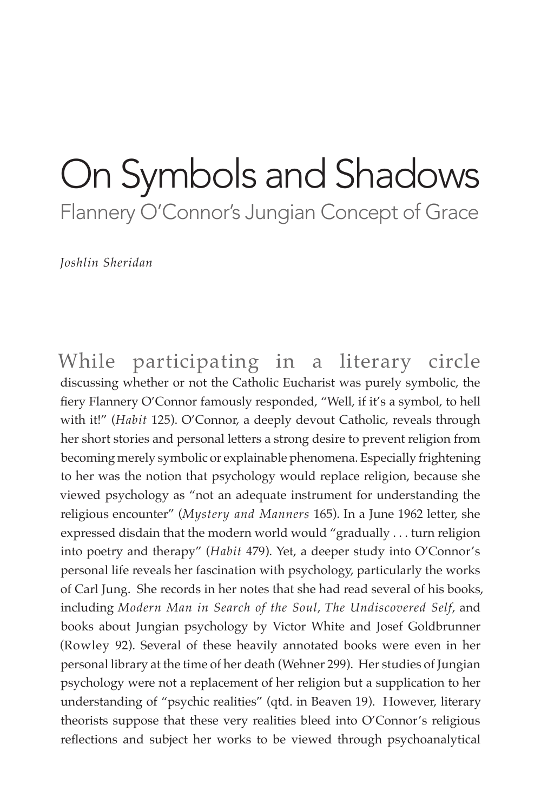## On Symbols and Shadows Flannery O'Connor's Jungian Concept of Grace

*Joshlin Sheridan*

While participating in a literary circle discussing whether or not the Catholic Eucharist was purely symbolic, the fiery Flannery O'Connor famously responded, "Well, if it's a symbol, to hell with it!" (*Habit* 125). O'Connor, a deeply devout Catholic, reveals through her short stories and personal letters a strong desire to prevent religion from becoming merely symbolic or explainable phenomena. Especially frightening to her was the notion that psychology would replace religion, because she viewed psychology as "not an adequate instrument for understanding the religious encounter" (*Mystery and Manners* 165). In a June 1962 letter, she expressed disdain that the modern world would "gradually . . . turn religion into poetry and therapy" (*Habit* 479). Yet, a deeper study into O'Connor's personal life reveals her fascination with psychology, particularly the works of Carl Jung. She records in her notes that she had read several of his books, including *Modern Man in Search of the Soul*, *The Undiscovered Self*, and books about Jungian psychology by Victor White and Josef Goldbrunner (Rowley 92). Several of these heavily annotated books were even in her personal library at the time of her death (Wehner 299). Her studies of Jungian psychology were not a replacement of her religion but a supplication to her understanding of "psychic realities" (qtd. in Beaven 19). However, literary theorists suppose that these very realities bleed into O'Connor's religious reflections and subject her works to be viewed through psychoanalytical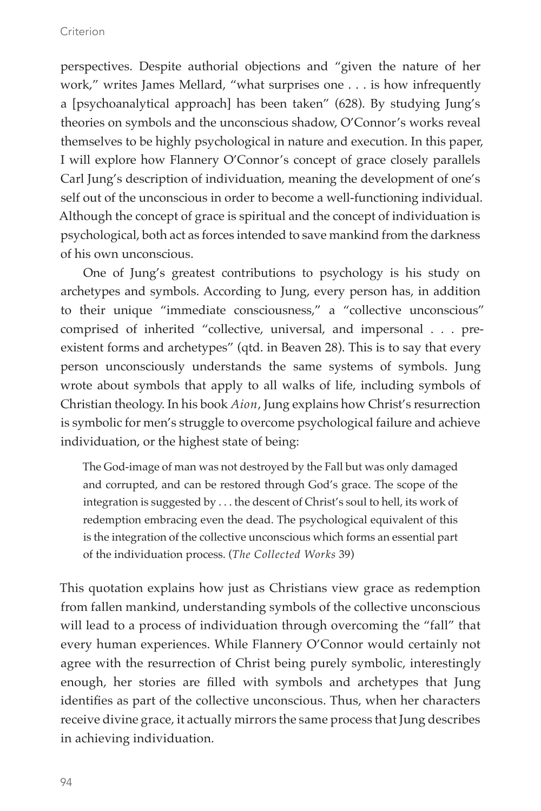#### Criterion

perspectives. Despite authorial objections and "given the nature of her work," writes James Mellard, "what surprises one . . . is how infrequently a [psychoanalytical approach] has been taken" (628). By studying Jung's theories on symbols and the unconscious shadow, O'Connor's works reveal themselves to be highly psychological in nature and execution. In this paper, I will explore how Flannery O'Connor's concept of grace closely parallels Carl Jung's description of individuation, meaning the development of one's self out of the unconscious in order to become a well-functioning individual. Although the concept of grace is spiritual and the concept of individuation is psychological, both act as forces intended to save mankind from the darkness of his own unconscious.

One of Jung's greatest contributions to psychology is his study on archetypes and symbols. According to Jung, every person has, in addition to their unique "immediate consciousness," a "collective unconscious" comprised of inherited "collective, universal, and impersonal . . . preexistent forms and archetypes" (qtd. in Beaven 28). This is to say that every person unconsciously understands the same systems of symbols. Jung wrote about symbols that apply to all walks of life, including symbols of Christian theology. In his book *Aion*, Jung explains how Christ's resurrection is symbolic for men's struggle to overcome psychological failure and achieve individuation, or the highest state of being:

The God-image of man was not destroyed by the Fall but was only damaged and corrupted, and can be restored through God's grace. The scope of the integration is suggested by . . . the descent of Christ's soul to hell, its work of redemption embracing even the dead. The psychological equivalent of this is the integration of the collective unconscious which forms an essential part of the individuation process. (*The Collected Works* 39)

This quotation explains how just as Christians view grace as redemption from fallen mankind, understanding symbols of the collective unconscious will lead to a process of individuation through overcoming the "fall" that every human experiences. While Flannery O'Connor would certainly not agree with the resurrection of Christ being purely symbolic, interestingly enough, her stories are filled with symbols and archetypes that Jung identifies as part of the collective unconscious. Thus, when her characters receive divine grace, it actually mirrors the same process that Jung describes in achieving individuation.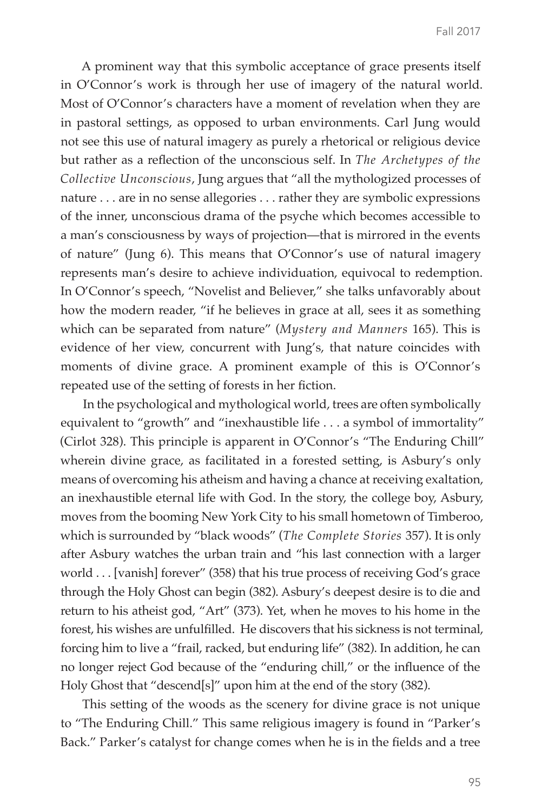A prominent way that this symbolic acceptance of grace presents itself in O'Connor's work is through her use of imagery of the natural world. Most of O'Connor's characters have a moment of revelation when they are in pastoral settings, as opposed to urban environments. Carl Jung would not see this use of natural imagery as purely a rhetorical or religious device but rather as a reflection of the unconscious self. In *The Archetypes of the Collective Unconscious*, Jung argues that "all the mythologized processes of nature . . . are in no sense allegories . . . rather they are symbolic expressions of the inner, unconscious drama of the psyche which becomes accessible to a man's consciousness by ways of projection—that is mirrored in the events of nature" (Jung 6). This means that O'Connor's use of natural imagery represents man's desire to achieve individuation, equivocal to redemption. In O'Connor's speech, "Novelist and Believer," she talks unfavorably about how the modern reader, "if he believes in grace at all, sees it as something which can be separated from nature" (*Mystery and Manners* 165). This is evidence of her view, concurrent with Jung's, that nature coincides with moments of divine grace. A prominent example of this is O'Connor's repeated use of the setting of forests in her fiction.

In the psychological and mythological world, trees are often symbolically equivalent to "growth" and "inexhaustible life . . . a symbol of immortality" (Cirlot 328). This principle is apparent in O'Connor's "The Enduring Chill" wherein divine grace, as facilitated in a forested setting, is Asbury's only means of overcoming his atheism and having a chance at receiving exaltation, an inexhaustible eternal life with God. In the story, the college boy, Asbury, moves from the booming New York City to his small hometown of Timberoo, which is surrounded by "black woods" (*The Complete Stories* 357). It is only after Asbury watches the urban train and "his last connection with a larger world . . . [vanish] forever" (358) that his true process of receiving God's grace through the Holy Ghost can begin (382). Asbury's deepest desire is to die and return to his atheist god, "Art" (373). Yet, when he moves to his home in the forest, his wishes are unfulfilled. He discovers that his sickness is not terminal, forcing him to live a "frail, racked, but enduring life" (382). In addition, he can no longer reject God because of the "enduring chill," or the influence of the Holy Ghost that "descend[s]" upon him at the end of the story (382).

This setting of the woods as the scenery for divine grace is not unique to "The Enduring Chill." This same religious imagery is found in "Parker's Back." Parker's catalyst for change comes when he is in the fields and a tree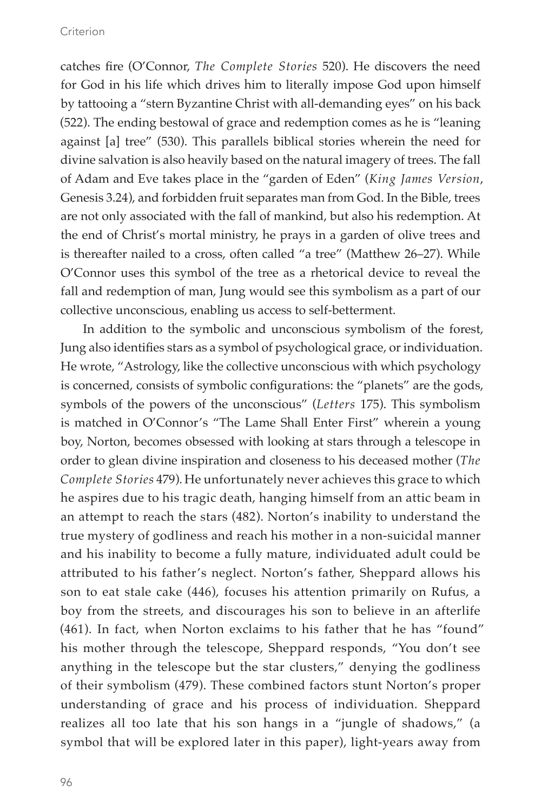catches fire (O'Connor, *The Complete Stories* 520). He discovers the need for God in his life which drives him to literally impose God upon himself by tattooing a "stern Byzantine Christ with all-demanding eyes" on his back (522). The ending bestowal of grace and redemption comes as he is "leaning against [a] tree" (530). This parallels biblical stories wherein the need for divine salvation is also heavily based on the natural imagery of trees. The fall of Adam and Eve takes place in the "garden of Eden" (*King James Version*, Genesis 3.24), and forbidden fruit separates man from God. In the Bible, trees are not only associated with the fall of mankind, but also his redemption. At the end of Christ's mortal ministry, he prays in a garden of olive trees and is thereafter nailed to a cross, often called "a tree" (Matthew 26–27). While O'Connor uses this symbol of the tree as a rhetorical device to reveal the fall and redemption of man, Jung would see this symbolism as a part of our collective unconscious, enabling us access to self-betterment.

In addition to the symbolic and unconscious symbolism of the forest, Jung also identifies stars as a symbol of psychological grace, or individuation. He wrote, "Astrology, like the collective unconscious with which psychology is concerned, consists of symbolic configurations: the "planets" are the gods, symbols of the powers of the unconscious" (*Letters* 175). This symbolism is matched in O'Connor's "The Lame Shall Enter First" wherein a young boy, Norton, becomes obsessed with looking at stars through a telescope in order to glean divine inspiration and closeness to his deceased mother (*The Complete Stories* 479). He unfortunately never achieves this grace to which he aspires due to his tragic death, hanging himself from an attic beam in an attempt to reach the stars (482). Norton's inability to understand the true mystery of godliness and reach his mother in a non-suicidal manner and his inability to become a fully mature, individuated adult could be attributed to his father's neglect. Norton's father, Sheppard allows his son to eat stale cake (446), focuses his attention primarily on Rufus, a boy from the streets, and discourages his son to believe in an afterlife (461). In fact, when Norton exclaims to his father that he has "found" his mother through the telescope, Sheppard responds, "You don't see anything in the telescope but the star clusters," denying the godliness of their symbolism (479). These combined factors stunt Norton's proper understanding of grace and his process of individuation. Sheppard realizes all too late that his son hangs in a "jungle of shadows," (a symbol that will be explored later in this paper), light-years away from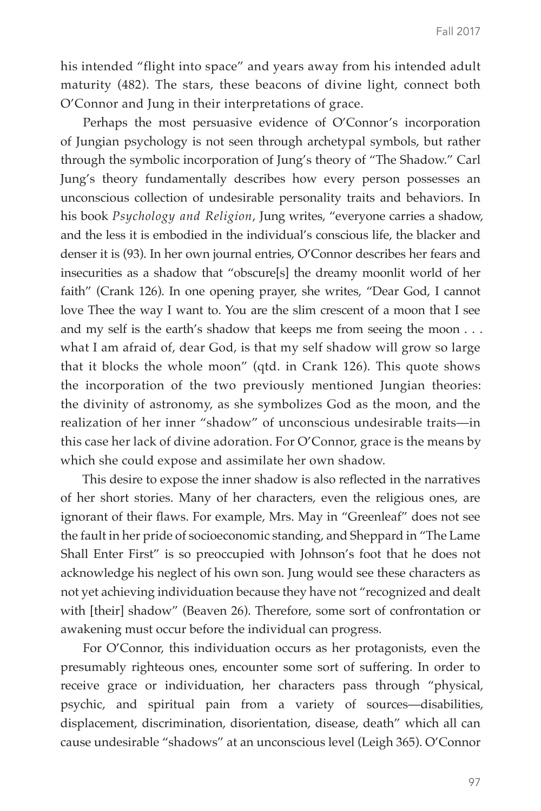his intended "flight into space" and years away from his intended adult maturity (482). The stars, these beacons of divine light, connect both O'Connor and Jung in their interpretations of grace.

Perhaps the most persuasive evidence of O'Connor's incorporation of Jungian psychology is not seen through archetypal symbols, but rather through the symbolic incorporation of Jung's theory of "The Shadow." Carl Jung's theory fundamentally describes how every person possesses an unconscious collection of undesirable personality traits and behaviors. In his book *Psychology and Religion*, Jung writes, "everyone carries a shadow, and the less it is embodied in the individual's conscious life, the blacker and denser it is (93). In her own journal entries, O'Connor describes her fears and insecurities as a shadow that "obscure[s] the dreamy moonlit world of her faith" (Crank 126). In one opening prayer, she writes, "Dear God, I cannot love Thee the way I want to. You are the slim crescent of a moon that I see and my self is the earth's shadow that keeps me from seeing the moon . . . what I am afraid of, dear God, is that my self shadow will grow so large that it blocks the whole moon" (qtd. in Crank 126). This quote shows the incorporation of the two previously mentioned Jungian theories: the divinity of astronomy, as she symbolizes God as the moon, and the realization of her inner "shadow" of unconscious undesirable traits—in this case her lack of divine adoration. For O'Connor, grace is the means by which she could expose and assimilate her own shadow.

This desire to expose the inner shadow is also reflected in the narratives of her short stories. Many of her characters, even the religious ones, are ignorant of their flaws. For example, Mrs. May in "Greenleaf" does not see the fault in her pride of socioeconomic standing, and Sheppard in "The Lame Shall Enter First" is so preoccupied with Johnson's foot that he does not acknowledge his neglect of his own son. Jung would see these characters as not yet achieving individuation because they have not "recognized and dealt with [their] shadow" (Beaven 26). Therefore, some sort of confrontation or awakening must occur before the individual can progress.

For O'Connor, this individuation occurs as her protagonists, even the presumably righteous ones, encounter some sort of suffering. In order to receive grace or individuation, her characters pass through "physical, psychic, and spiritual pain from a variety of sources—disabilities, displacement, discrimination, disorientation, disease, death" which all can cause undesirable "shadows" at an unconscious level (Leigh 365). O'Connor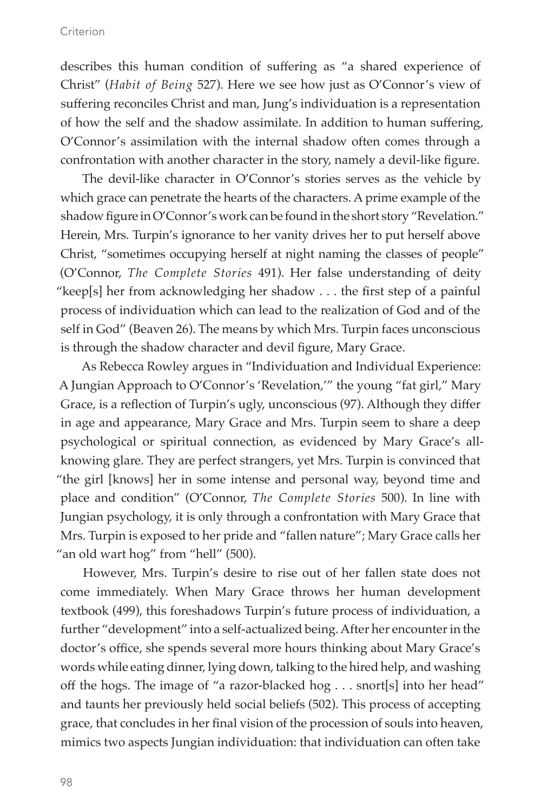#### Criterion

describes this human condition of suffering as "a shared experience of Christ" (*Habit of Being* 527). Here we see how just as O'Connor's view of suffering reconciles Christ and man, Jung's individuation is a representation of how the self and the shadow assimilate. In addition to human suffering, O'Connor's assimilation with the internal shadow often comes through a confrontation with another character in the story, namely a devil-like figure.

The devil-like character in O'Connor's stories serves as the vehicle by which grace can penetrate the hearts of the characters. A prime example of the shadow figure in O'Connor's work can be found in the short story "Revelation." Herein, Mrs. Turpin's ignorance to her vanity drives her to put herself above Christ, "sometimes occupying herself at night naming the classes of people" (O'Connor, *The Complete Stories* 491). Her false understanding of deity "keep[s] her from acknowledging her shadow . . . the first step of a painful process of individuation which can lead to the realization of God and of the self in God" (Beaven 26). The means by which Mrs. Turpin faces unconscious is through the shadow character and devil figure, Mary Grace.

As Rebecca Rowley argues in "Individuation and Individual Experience: A Jungian Approach to O'Connor's 'Revelation,'" the young "fat girl," Mary Grace, is a reflection of Turpin's ugly, unconscious (97). Although they differ in age and appearance, Mary Grace and Mrs. Turpin seem to share a deep psychological or spiritual connection, as evidenced by Mary Grace's allknowing glare. They are perfect strangers, yet Mrs. Turpin is convinced that "the girl [knows] her in some intense and personal way, beyond time and place and condition" (O'Connor, *The Complete Stories* 500). In line with Jungian psychology, it is only through a confrontation with Mary Grace that Mrs. Turpin is exposed to her pride and "fallen nature"; Mary Grace calls her "an old wart hog" from "hell" (500).

However, Mrs. Turpin's desire to rise out of her fallen state does not come immediately. When Mary Grace throws her human development textbook (499), this foreshadows Turpin's future process of individuation, a further "development" into a self-actualized being. After her encounter in the doctor's office, she spends several more hours thinking about Mary Grace's words while eating dinner, lying down, talking to the hired help, and washing off the hogs. The image of "a razor-blacked hog . . . snort[s] into her head" and taunts her previously held social beliefs (502). This process of accepting grace, that concludes in her final vision of the procession of souls into heaven, mimics two aspects Jungian individuation: that individuation can often take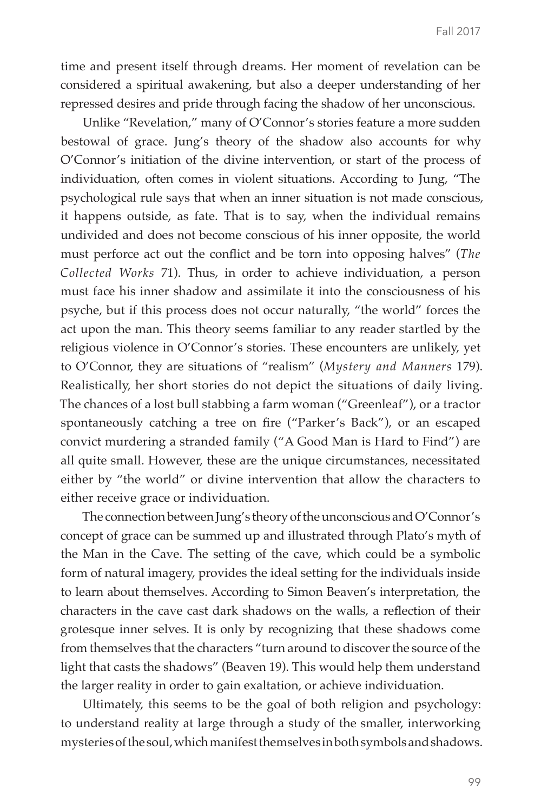time and present itself through dreams. Her moment of revelation can be considered a spiritual awakening, but also a deeper understanding of her repressed desires and pride through facing the shadow of her unconscious.

Unlike "Revelation," many of O'Connor's stories feature a more sudden bestowal of grace. Jung's theory of the shadow also accounts for why O'Connor's initiation of the divine intervention, or start of the process of individuation, often comes in violent situations. According to Jung, "The psychological rule says that when an inner situation is not made conscious, it happens outside, as fate. That is to say, when the individual remains undivided and does not become conscious of his inner opposite, the world must perforce act out the conflict and be torn into opposing halves" (*The Collected Works* 71). Thus, in order to achieve individuation, a person must face his inner shadow and assimilate it into the consciousness of his psyche, but if this process does not occur naturally, "the world" forces the act upon the man. This theory seems familiar to any reader startled by the religious violence in O'Connor's stories. These encounters are unlikely, yet to O'Connor, they are situations of "realism" (*Mystery and Manners* 179). Realistically, her short stories do not depict the situations of daily living. The chances of a lost bull stabbing a farm woman ("Greenleaf"), or a tractor spontaneously catching a tree on fire ("Parker's Back"), or an escaped convict murdering a stranded family ("A Good Man is Hard to Find") are all quite small. However, these are the unique circumstances, necessitated either by "the world" or divine intervention that allow the characters to either receive grace or individuation.

The connection between Jung's theory of the unconscious and O'Connor's concept of grace can be summed up and illustrated through Plato's myth of the Man in the Cave. The setting of the cave, which could be a symbolic form of natural imagery, provides the ideal setting for the individuals inside to learn about themselves. According to Simon Beaven's interpretation, the characters in the cave cast dark shadows on the walls, a reflection of their grotesque inner selves. It is only by recognizing that these shadows come from themselves that the characters "turn around to discover the source of the light that casts the shadows" (Beaven 19). This would help them understand the larger reality in order to gain exaltation, or achieve individuation.

Ultimately, this seems to be the goal of both religion and psychology: to understand reality at large through a study of the smaller, interworking mysteries of the soul, which manifest themselves in both symbols and shadows.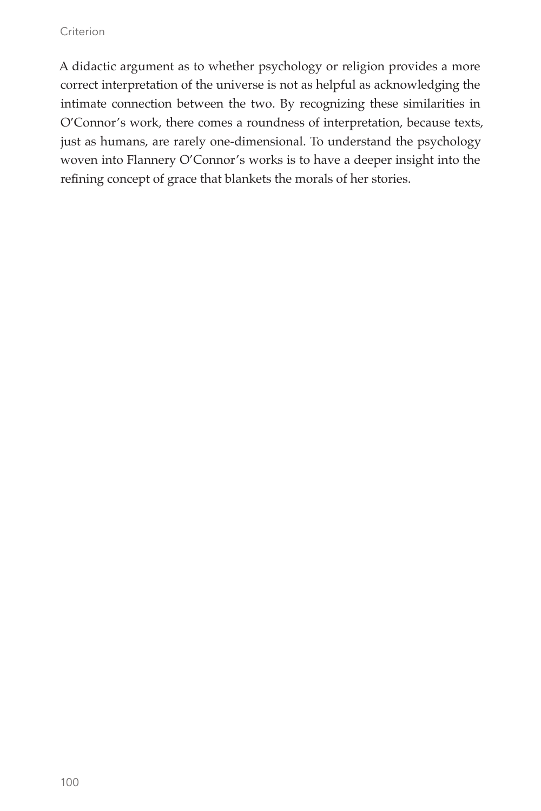#### **Criterion**

A didactic argument as to whether psychology or religion provides a more correct interpretation of the universe is not as helpful as acknowledging the intimate connection between the two. By recognizing these similarities in O'Connor's work, there comes a roundness of interpretation, because texts, just as humans, are rarely one-dimensional. To understand the psychology woven into Flannery O'Connor's works is to have a deeper insight into the refining concept of grace that blankets the morals of her stories.